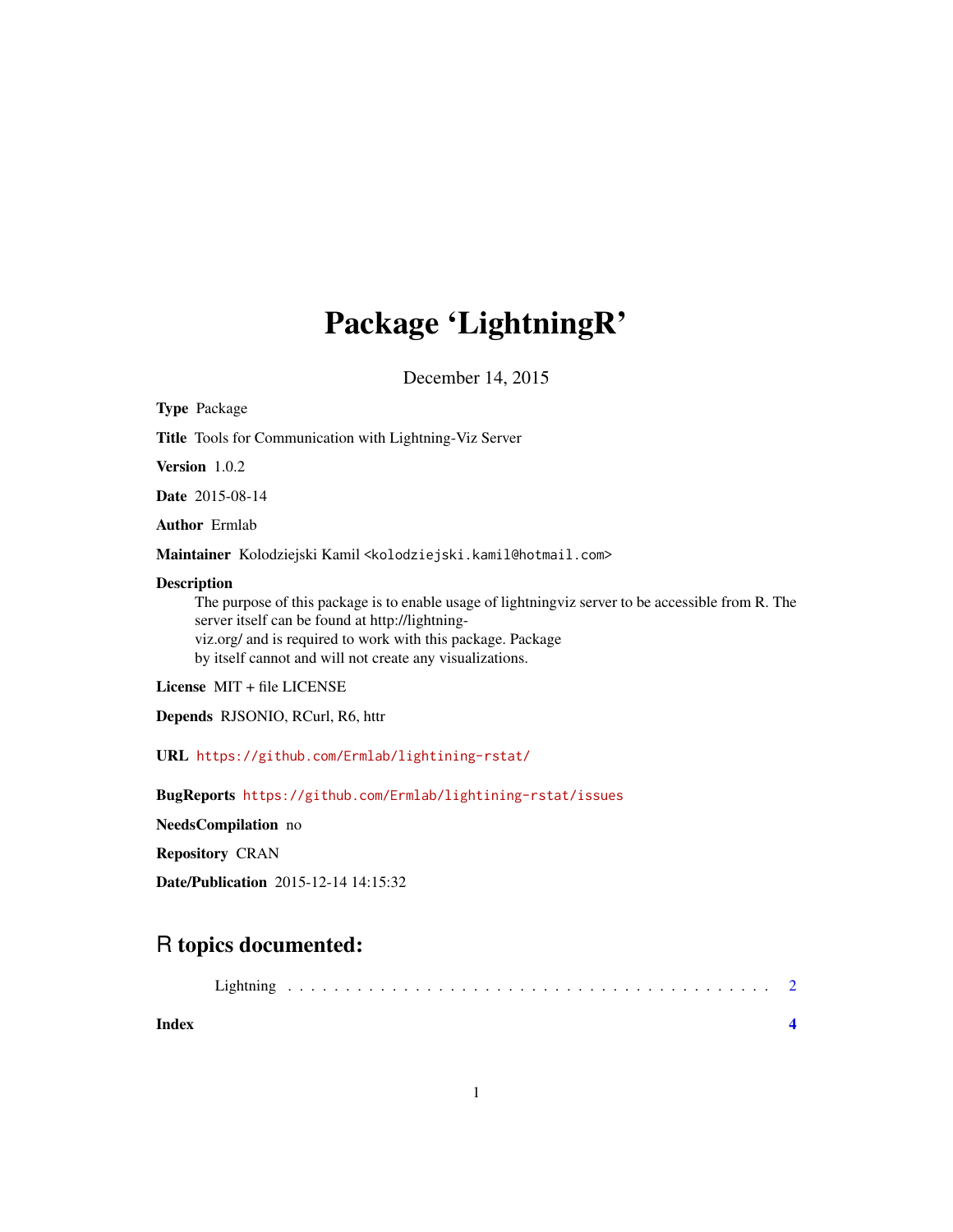## Package 'LightningR'

December 14, 2015

<span id="page-0-0"></span>

| <b>Type Package</b>                                                                                                                                                                                                                                                                              |
|--------------------------------------------------------------------------------------------------------------------------------------------------------------------------------------------------------------------------------------------------------------------------------------------------|
| <b>Title</b> Tools for Communication with Lightning-Viz Server                                                                                                                                                                                                                                   |
| <b>Version</b> 1.0.2                                                                                                                                                                                                                                                                             |
| <b>Date</b> 2015-08-14                                                                                                                                                                                                                                                                           |
| <b>Author</b> Ermlab                                                                                                                                                                                                                                                                             |
| M <b>aintainer</b> Kolodziejski Kamil <kolodziejski.kamil@hotmail.com></kolodziejski.kamil@hotmail.com>                                                                                                                                                                                          |
| Description<br>The purpose of this package is to enable usage of lightning viz server to be accessible from R. The<br>server itself can be found at http://lightning-<br>viz.org/ and is required to work with this package. Package<br>by itself cannot and will not create any visualizations. |
| License MIT + file LICENSE                                                                                                                                                                                                                                                                       |
| Depends RJSONIO, RCurl, R6, httr                                                                                                                                                                                                                                                                 |
| $URL \hbarttps://github.com/Ermlab/lightining-rstat/$                                                                                                                                                                                                                                            |
| BugReports https://github.com/Ermlab/lightining-rstat/issues                                                                                                                                                                                                                                     |
| NeedsCompilation no                                                                                                                                                                                                                                                                              |

Repository CRAN

Date/Publication 2015-12-14 14:15:32

### R topics documented:

| Index |  |  |  |  |  |  |  |  |  |  |  |  |  |  |  |  |  |
|-------|--|--|--|--|--|--|--|--|--|--|--|--|--|--|--|--|--|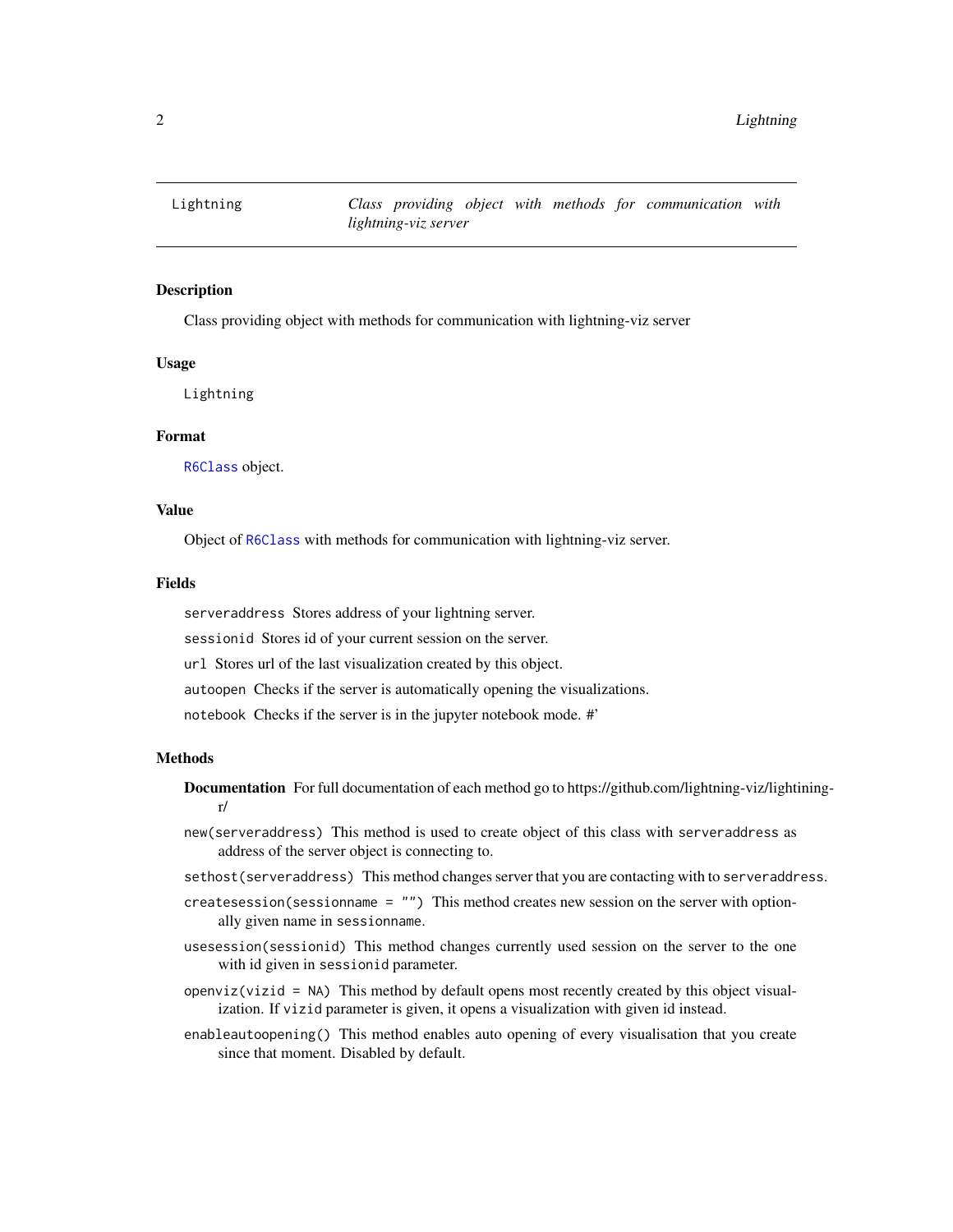<span id="page-1-0"></span>

#### Description

Class providing object with methods for communication with lightning-viz server

#### Usage

Lightning

#### Format

[R6Class](#page-0-0) object.

#### Value

Object of [R6Class](#page-0-0) with methods for communication with lightning-viz server.

#### Fields

serveraddress Stores address of your lightning server.

sessionid Stores id of your current session on the server.

url Stores url of the last visualization created by this object.

- autoopen Checks if the server is automatically opening the visualizations.
- notebook Checks if the server is in the jupyter notebook mode. #'

#### Methods

- Documentation For full documentation of each method go to https://github.com/lightning-viz/lightiningr/
- new(serveraddress) This method is used to create object of this class with serveraddress as address of the server object is connecting to.
- sethost(serveraddress) This method changes server that you are contacting with to serveraddress.
- createsession(sessionname = "") This method creates new session on the server with optionally given name in sessionname.
- usesession(sessionid) This method changes currently used session on the server to the one with id given in sessionid parameter.
- $openviz(vizid = NA)$  This method by default opens most recently created by this object visualization. If vizid parameter is given, it opens a visualization with given id instead.
- enableautoopening() This method enables auto opening of every visualisation that you create since that moment. Disabled by default.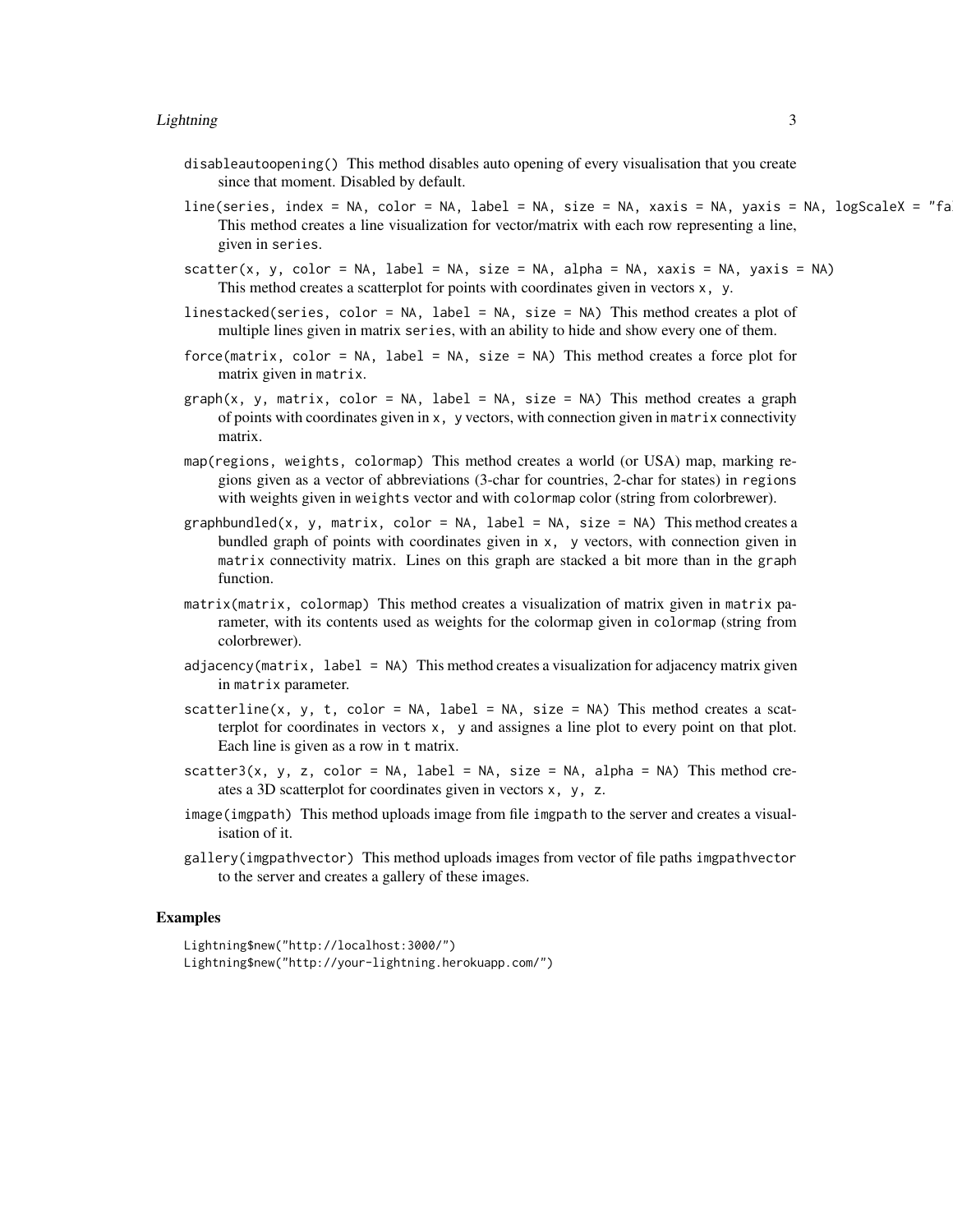- disableautoopening() This method disables auto opening of every visualisation that you create since that moment. Disabled by default.
- line(series, index = NA, color = NA, label = NA, size = NA, xaxis = NA, yaxis = NA, logScaleX = "fa This method creates a line visualization for vector/matrix with each row representing a line, given in series.
- $scatter(x, y, color = NA, label = NA, size = NA, alpha = NA, xaxis = NA, yaxis = NA)$ This method creates a scatterplot for points with coordinates given in vectors x, y.
- linestacked(series, color = NA, label = NA, size = NA) This method creates a plot of multiple lines given in matrix series, with an ability to hide and show every one of them.
- force(matrix, color = NA, label = NA, size = NA) This method creates a force plot for matrix given in matrix.
- $graph(x, y, matrix, color = NA, label = NA, size = NA)$  This method creates a graph of points with coordinates given in  $x$ , y vectors, with connection given in matrix connectivity matrix.
- map(regions, weights, colormap) This method creates a world (or USA) map, marking regions given as a vector of abbreviations (3-char for countries, 2-char for states) in regions with weights given in weights vector and with colormap color (string from colorbrewer).
- graphbundled(x, y, matrix, color = NA, label = NA, size = NA) This method creates a bundled graph of points with coordinates given in x, y vectors, with connection given in matrix connectivity matrix. Lines on this graph are stacked a bit more than in the graph function.
- matrix(matrix, colormap) This method creates a visualization of matrix given in matrix parameter, with its contents used as weights for the colormap given in colormap (string from colorbrewer).
- adjacency(matrix, label = NA) This method creates a visualization for adjacency matrix given in matrix parameter.
- scatterline(x, y, t, color = NA, label = NA, size = NA) This method creates a scatterplot for coordinates in vectors x, y and assignes a line plot to every point on that plot. Each line is given as a row in t matrix.
- scatter3(x, y, z, color = NA, label = NA, size = NA, alpha = NA) This method creates a 3D scatterplot for coordinates given in vectors x, y, z.
- image(imgpath) This method uploads image from file imgpath to the server and creates a visualisation of it.
- gallery(imgpathvector) This method uploads images from vector of file paths imgpathvector to the server and creates a gallery of these images.

#### Examples

Lightning\$new("http://localhost:3000/") Lightning\$new("http://your-lightning.herokuapp.com/")